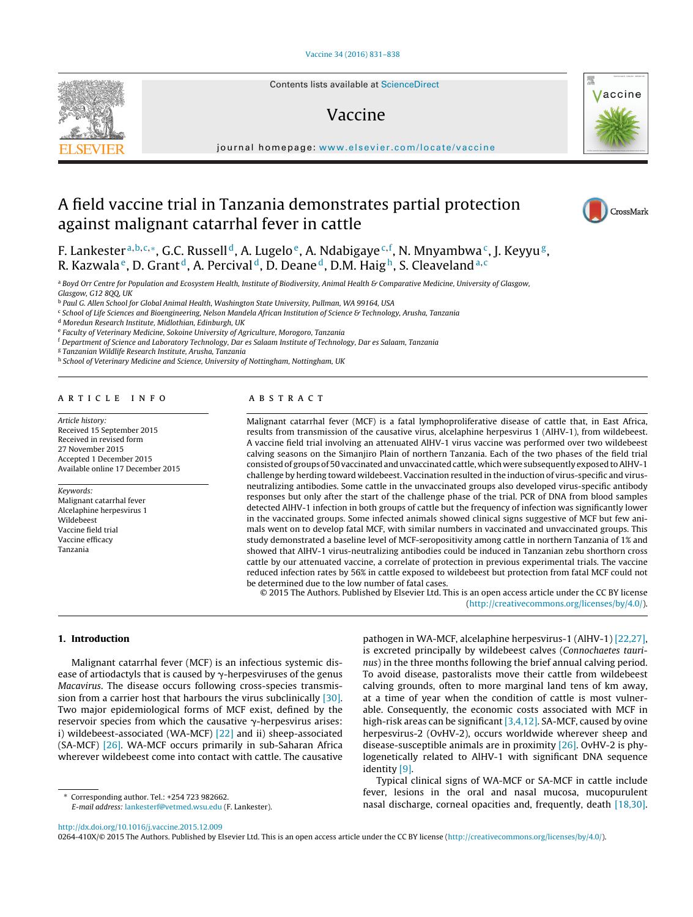Contents lists available at [ScienceDirect](http://www.sciencedirect.com/science/journal/0264410X)

# Vaccine

iournal homepage: [www.elsevier.com/locate/vaccine](http://www.elsevier.com/locate/vaccine)

# A field vaccine trial in Tanzania demonstrates partial protection against malignant catarrhal fever in cattle

F. Lankesterª<sup>,b,c,</sup>\*, G.C. Russell<sup>d</sup>, A. Lugelo<sup>e</sup>, A. Ndabigaye<sup>c,f</sup>, N. Mnyambwa<sup>c</sup>, J. Keyyu<sup>g</sup>, R. Kazwala<sup>e</sup>, D. Grant<sup>d</sup>, A. Percival<sup>d</sup>, D. Deane<sup>d</sup>, D.M. Haigh, S. Cleaveland<sup>a,c</sup>

a Boyd Orr Centre for Population and Ecosystem Health, Institute of Biodiversity, Animal Health & Comparative Medicine, University of Glasgow, Glasgow, G12 8QQ, UK

<sup>b</sup> Paul G. Allen School for Global Animal Health, Washington State University, Pullman, WA 99164, USA

<sup>c</sup> School of Life Sciences and Bioengineering, Nelson Mandela African Institution of Science & Technology, Arusha, Tanzania

<sup>d</sup> Moredun Research Institute, Midlothian, Edinburgh, UK

<sup>e</sup> Faculty of Veterinary Medicine, Sokoine University of Agriculture, Morogoro, Tanzania

<sup>f</sup> Department of Science and Laboratory Technology, Dar es Salaam Institute of Technology, Dar es Salaam, Tanzania

<sup>g</sup> Tanzanian Wildlife Research Institute, Arusha, Tanzania

h School of Veterinary Medicine and Science, University of Nottingham, Nottingham, UK

## a r t i c l e i n f o

Article history: Received 15 September 2015 Received in revised form 27 November 2015 Accepted 1 December 2015 Available online 17 December 2015

Keywords: Malignant catarrhal fever Alcelaphine herpesvirus 1 Wildebeest Vaccine field trial Vaccine efficacy Tanzania

## A B S T R A C T

Malignant catarrhal fever (MCF) is a fatal lymphoproliferative disease of cattle that, in East Africa, results from transmission of the causative virus, alcelaphine herpesvirus 1 (AlHV-1), from wildebeest. A vaccine field trial involving an attenuated AlHV-1 virus vaccine was performed over two wildebeest calving seasons on the Simanjiro Plain of northern Tanzania. Each of the two phases of the field trial consisted of groups of 50 vaccinated and unvaccinated cattle, which were subsequently exposed to AlHV-1 challenge by herding toward wildebeest. Vaccination resulted in the induction of virus-specific and virusneutralizing antibodies. Some cattle in the unvaccinated groups also developed virus-specific antibody responses but only after the start of the challenge phase of the trial. PCR of DNA from blood samples detected AlHV-1 infection in both groups of cattle but the frequency of infection was significantly lower in the vaccinated groups. Some infected animals showed clinical signs suggestive of MCF but few animals went on to develop fatal MCF, with similar numbers in vaccinated and unvaccinated groups. This study demonstrated a baseline level of MCF-seropositivity among cattle in northern Tanzania of 1% and showed that AlHV-1 virus-neutralizing antibodies could be induced in Tanzanian zebu shorthorn cross cattle by our attenuated vaccine, a correlate of protection in previous experimental trials. The vaccine reduced infection rates by 56% in cattle exposed to wildebeest but protection from fatal MCF could not be determined due to the low number of fatal cases.

© 2015 The Authors. Published by Elsevier Ltd. This is an open access article under the CC BY license [\(http://creativecommons.org/licenses/by/4.0/](http://creativecommons.org/licenses/by/4.0/)).

## **1. Introduction**

Malignant catarrhal fever (MCF) is an infectious systemic disease of artiodactyls that is caused by  $\gamma$ -herpesviruses of the genus Macavirus. The disease occurs following cross-species transmission from a carrier host that harbours the virus subclinically [\[30\].](#page-7-0) Two major epidemiological forms of MCF exist, defined by the reservoir species from which the causative  $\gamma$ -herpesvirus arises: i) wildebeest-associated (WA-MCF) [\[22\]](#page-7-0) and ii) sheep-associated (SA-MCF) [\[26\].](#page-7-0) WA-MCF occurs primarily in sub-Saharan Africa wherever wildebeest come into contact with cattle. The causative

∗ Corresponding author. Tel.: +254 723 982662. E-mail address: [lankesterf@vetmed.wsu.edu](mailto:lankesterf@vetmed.wsu.edu) (F. Lankester). pathogen in WA-MCF, alcelaphine herpesvirus-1 (AlHV-1) [\[22,27\],](#page-7-0) is excreted principally by wildebeest calves (Connochaetes taurinus) in the three months following the brief annual calving period. To avoid disease, pastoralists move their cattle from wildebeest calving grounds, often to more marginal land tens of km away, at a time of year when the condition of cattle is most vulnerable. Consequently, the economic costs associated with MCF in high-risk areas can be significant [\[3,4,12\].](#page-7-0) SA-MCF, caused by ovine herpesvirus-2 (OvHV-2), occurs worldwide wherever sheep and disease-susceptible animals are in proximity [\[26\].](#page-7-0) OvHV-2 is phylogenetically related to AlHV-1 with significant DNA sequence identity [\[9\].](#page-7-0)

Typical clinical signs of WA-MCF or SA-MCF in cattle include fever, lesions in the oral and nasal mucosa, mucopurulent nasal discharge, corneal opacities and, frequently, death [\[18,30\].](#page-7-0)

[http://dx.doi.org/10.1016/j.vaccine.2015.12.009](dx.doi.org/10.1016/j.vaccine.2015.12.009)

0264-410X/© 2015 The Authors. Published by Elsevier Ltd. This is an open access article under the CC BY license [\(http://creativecommons.org/licenses/by/4.0/](http://creativecommons.org/licenses/by/4.0/)).





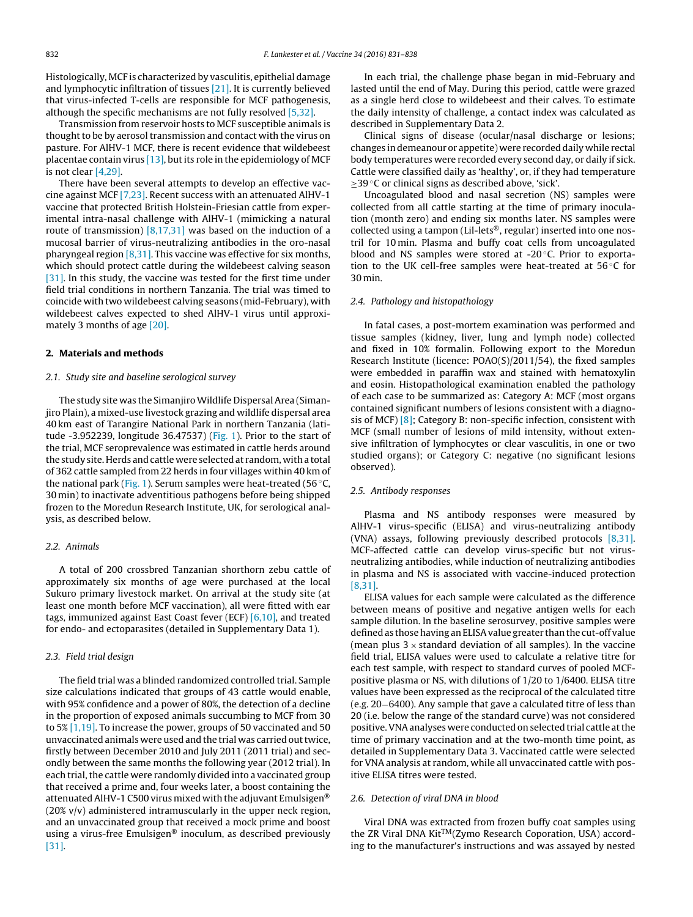Histologically, MCF is characterized by vasculitis, epithelial damage and lymphocytic infiltration of tissues [\[21\].](#page-7-0) It is currently believed that virus-infected T-cells are responsible for MCF pathogenesis, although the specific mechanisms are not fully resolved [\[5,32\].](#page-7-0)

Transmission from reservoir hosts to MCF susceptible animals is thought to be by aerosol transmission and contact with the virus on pasture. For AlHV-1 MCF, there is recent evidence that wildebeest placentae contain virus [\[13\],](#page-7-0) but its role in the epidemiology of MCF is not clear [\[4,29\].](#page-7-0)

There have been several attempts to develop an effective vaccine against MCF [\[7,23\].](#page-7-0) Recent success with an attenuated AlHV-1 vaccine that protected British Holstein-Friesian cattle from experimental intra-nasal challenge with AlHV-1 (mimicking a natural route of transmission) [\[8,17,31\]](#page-7-0) was based on the induction of a mucosal barrier of virus-neutralizing antibodies in the oro-nasal pharyngeal region  $[8,31]$ . This vaccine was effective for six months, which should protect cattle during the wildebeest calving season [\[31\].](#page-7-0) In this study, the vaccine was tested for the first time under field trial conditions in northern Tanzania. The trial was timed to coincide with two wildebeest calving seasons (mid-February), with wildebeest calves expected to shed AlHV-1 virus until approximately 3 months of age [\[20\].](#page-7-0)

#### **2. Materials and methods**

### 2.1. Study site and baseline serological survey

The study site was the SimanjiroWildlife Dispersal Area (Simanjiro Plain), a mixed-use livestock grazing and wildlife dispersal area 40 km east of Tarangire National Park in northern Tanzania (latitude -3.952239, longitude 36.47537) ([Fig.](#page-2-0) 1). Prior to the start of the trial, MCF seroprevalence was estimated in cattle herds around the study site. Herds and cattle were selected at random, with a total of 362 cattle sampled from 22 herds in four villages within 40 km of the national park ([Fig.](#page-2-0) 1). Serum samples were heat-treated (56 $\degree$ C, 30 min) to inactivate adventitious pathogens before being shipped frozen to the Moredun Research Institute, UK, for serological analysis, as described below.

#### 2.2. Animals

A total of 200 crossbred Tanzanian shorthorn zebu cattle of approximately six months of age were purchased at the local Sukuro primary livestock market. On arrival at the study site (at least one month before MCF vaccination), all were fitted with ear tags, immunized against East Coast fever (ECF) [\[6,10\],](#page-7-0) and treated for endo- and ectoparasites (detailed in Supplementary Data 1).

## 2.3. Field trial design

The field trial was a blinded randomized controlled trial. Sample size calculations indicated that groups of 43 cattle would enable, with 95% confidence and a power of 80%, the detection of a decline in the proportion of exposed animals succumbing to MCF from 30 to 5% [\[1,19\].](#page-7-0) To increase the power, groups of 50 vaccinated and 50 unvaccinated animals were used and the trial was carried out twice, firstly between December 2010 and July 2011 (2011 trial) and secondly between the same months the following year (2012 trial). In each trial, the cattle were randomly divided into a vaccinated group that received a prime and, four weeks later, a boost containing the attenuatedAlHV-1 C500 virus mixed with the adjuvant Emulsigen®  $(20\% v/v)$  administered intramuscularly in the upper neck region, and an unvaccinated group that received a mock prime and boost using a virus-free Emulsigen® inoculum, as described previously [\[31\].](#page-7-0)

In each trial, the challenge phase began in mid-February and lasted until the end of May. During this period, cattle were grazed as a single herd close to wildebeest and their calves. To estimate the daily intensity of challenge, a contact index was calculated as described in Supplementary Data 2.

Clinical signs of disease (ocular/nasal discharge or lesions; changes in demeanour or appetite) were recorded daily while rectal body temperatures were recorded every second day, or daily if sick. Cattle were classified daily as 'healthy', or, if they had temperature ≥39 ◦C or clinical signs as described above, 'sick'.

Uncoagulated blood and nasal secretion (NS) samples were collected from all cattle starting at the time of primary inoculation (month zero) and ending six months later. NS samples were collected using a tampon (Lil-lets®, regular) inserted into one nostril for 10 min. Plasma and buffy coat cells from uncoagulated blood and NS samples were stored at -20 °C. Prior to exportation to the UK cell-free samples were heat-treated at  $56^{\circ}$ C for 30 min.

## 2.4. Pathology and histopathology

In fatal cases, a post-mortem examination was performed and tissue samples (kidney, liver, lung and lymph node) collected and fixed in 10% formalin. Following export to the Moredun Research Institute (licence: POAO(S)/2011/54), the fixed samples were embedded in paraffin wax and stained with hematoxylin and eosin. Histopathological examination enabled the pathology of each case to be summarized as: Category A: MCF (most organs contained significant numbers of lesions consistent with a diagnosis of MCF) [\[8\];](#page-7-0) Category B: non-specific infection, consistent with MCF (small number of lesions of mild intensity, without extensive infiltration of lymphocytes or clear vasculitis, in one or two studied organs); or Category C: negative (no significant lesions observed).

## 2.5. Antibody responses

Plasma and NS antibody responses were measured by AlHV-1 virus-specific (ELISA) and virus-neutralizing antibody (VNA) assays, following previously described protocols [\[8,31\].](#page-7-0) MCF-affected cattle can develop virus-specific but not virusneutralizing antibodies, while induction of neutralizing antibodies in plasma and NS is associated with vaccine-induced protection [\[8,31\].](#page-7-0)

ELISA values for each sample were calculated as the difference between means of positive and negative antigen wells for each sample dilution. In the baseline serosurvey, positive samples were defined as those having an ELISA value greater than the cut-off value (mean plus  $3 \times$  standard deviation of all samples). In the vaccine field trial, ELISA values were used to calculate a relative titre for each test sample, with respect to standard curves of pooled MCFpositive plasma or NS, with dilutions of 1/20 to 1/6400. ELISA titre values have been expressed as the reciprocal of the calculated titre (e.g. 20−6400). Any sample that gave a calculated titre of less than 20 (i.e. below the range of the standard curve) was not considered positive.VNAanalyses were conducted on selected trial cattle atthe time of primary vaccination and at the two-month time point, as detailed in Supplementary Data 3. Vaccinated cattle were selected for VNA analysis at random, while all unvaccinated cattle with positive ELISA titres were tested.

#### 2.6. Detection of viral DNA in blood

Viral DNA was extracted from frozen buffy coat samples using the ZR Viral DNA Kit<sup>TM</sup>(Zymo Research Coporation, USA) according to the manufacturer's instructions and was assayed by nested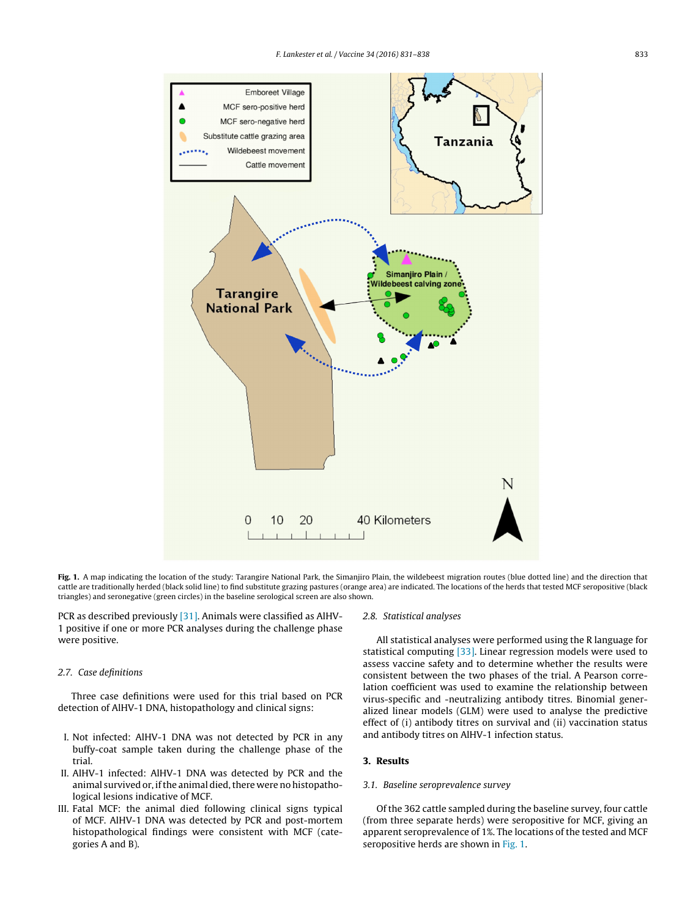<span id="page-2-0"></span>

Fig. 1. A map indicating the location of the study: Tarangire National Park, the Simanjiro Plain, the wildebeest migration routes (blue dotted line) and the direction that cattle are traditionally herded (black solid line) to find substitute grazing pastures (orange area) are indicated. The locations of the herds that tested MCF seropositive (black triangles) and seronegative (green circles) in the baseline serological screen are also shown.

PCR as described previously [\[31\].](#page-7-0) Animals were classified as AlHV-1 positive if one or more PCR analyses during the challenge phase were positive.

## 2.7. Case definitions

Three case definitions were used for this trial based on PCR detection of AlHV-1 DNA, histopathology and clinical signs:

- I. Not infected: AlHV-1 DNA was not detected by PCR in any buffy-coat sample taken during the challenge phase of the trial.
- II. AlHV-1 infected: AlHV-1 DNA was detected by PCR and the animal survived or, if the animal died, there were no histopathological lesions indicative of MCF.
- III. Fatal MCF: the animal died following clinical signs typical of MCF. AlHV-1 DNA was detected by PCR and post-mortem histopathological findings were consistent with MCF (categories A and B).

#### 2.8. Statistical analyses

All statistical analyses were performed using the R language for statistical computing [\[33\].](#page-7-0) Linear regression models were used to assess vaccine safety and to determine whether the results were consistent between the two phases of the trial. A Pearson correlation coefficient was used to examine the relationship between virus-specific and -neutralizing antibody titres. Binomial generalized linear models (GLM) were used to analyse the predictive effect of (i) antibody titres on survival and (ii) vaccination status and antibody titres on AlHV-1 infection status.

## **3. Results**

## 3.1. Baseline seroprevalence survey

Of the 362 cattle sampled during the baseline survey, four cattle (from three separate herds) were seropositive for MCF, giving an apparent seroprevalence of 1%. The locations of the tested and MCF seropositive herds are shown in Fig. 1.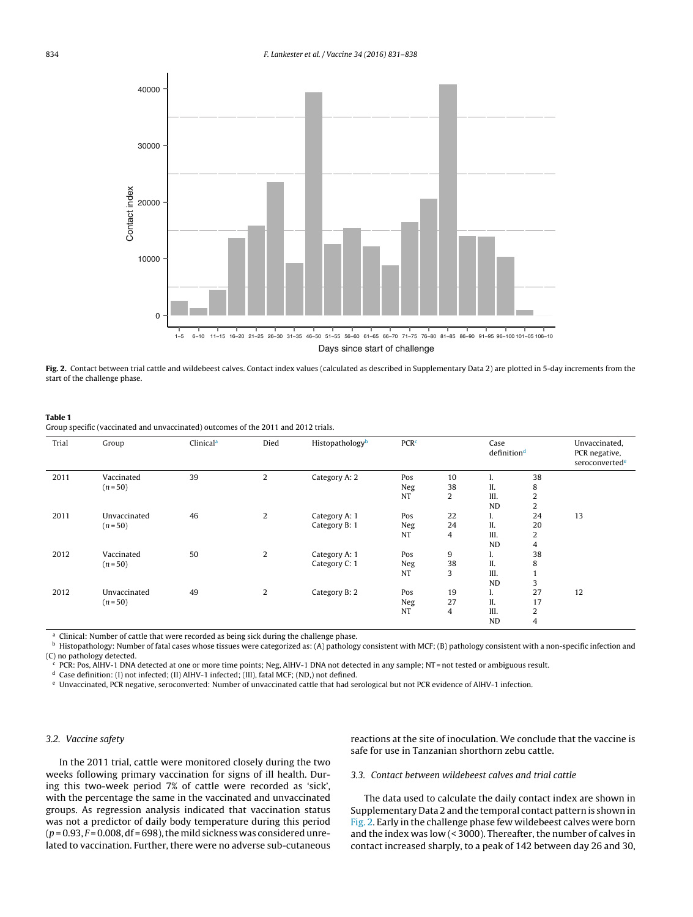<span id="page-3-0"></span>

**Fig. 2.** Contact between trial cattle and wildebeest calves. Contact index values (calculated as described in Supplementary Data 2) are plotted in 5-day increments from the start of the challenge phase.

#### **Table 1**

Group specific (vaccinated and unvaccinated) outcomes of the 2011 and 2012 trials.

| Trial | Group        | Clinical <sup>a</sup> | Died           | Histopathology <sup>b</sup> | <b>PCR<sup>c</sup></b> |                | Case<br>definition <sup>d</sup> |                | Unvaccinated,<br>PCR negative,<br>seroconvertede |
|-------|--------------|-----------------------|----------------|-----------------------------|------------------------|----------------|---------------------------------|----------------|--------------------------------------------------|
| 2011  | Vaccinated   | 39                    | $\overline{2}$ | Category A: 2               | Pos                    | 10             | 1.                              | 38             |                                                  |
|       | $(n = 50)$   |                       |                |                             | Neg                    | 38             | II.                             | 8              |                                                  |
|       |              |                       |                |                             | NT                     | $\overline{2}$ | III.                            | $\overline{2}$ |                                                  |
|       |              |                       |                |                             |                        |                | <b>ND</b>                       | 2              |                                                  |
| 2011  | Unvaccinated | 46                    | 2              | Category A: 1               | Pos                    | 22             | 1.                              | 24             | 13                                               |
|       | $(n = 50)$   |                       |                | Category B: 1               | Neg                    | 24             | II.                             | 20             |                                                  |
|       |              |                       |                |                             | <b>NT</b>              | 4              | III.                            | $\overline{2}$ |                                                  |
|       |              |                       |                |                             |                        |                | <b>ND</b>                       | $\overline{4}$ |                                                  |
| 2012  | Vaccinated   | 50                    | 2              | Category A: 1               | Pos                    | 9              | 1.                              | 38             |                                                  |
|       | $(n = 50)$   |                       |                | Category C: 1               | Neg                    | 38             | II.                             | 8              |                                                  |
|       |              |                       |                |                             | <b>NT</b>              | 3              | III.                            |                |                                                  |
|       |              |                       |                |                             |                        |                | <b>ND</b>                       | 3              |                                                  |
| 2012  | Unvaccinated | 49                    | 2              | Category B: 2               | Pos                    | 19             | ı.                              | 27             | 12                                               |
|       | $(n=50)$     |                       |                |                             | Neg                    | 27             | II.                             | 17             |                                                  |
|       |              |                       |                |                             | NT                     | 4              | III.                            | 2              |                                                  |
|       |              |                       |                |                             |                        |                | <b>ND</b>                       | 4              |                                                  |

Clinical: Number of cattle that were recorded as being sick during the challenge phase.

**b** Histopathology: Number of fatal cases whose tissues were categorized as: (A) pathology consistent with MCF; (B) pathology consistent with a non-specific infection and (C) no pathology detected.

<sup>c</sup> PCR: Pos, AlHV-1 DNA detected at one or more time points; Neg, AlHV-1 DNA not detected in any sample; NT = not tested or ambiguous result.

<sup>d</sup> Case definition: (I) not infected; (II) AlHV-1 infected; (III), fatal MCF; (ND,) not defined.

<sup>e</sup> Unvaccinated, PCR negative, seroconverted: Number of unvaccinated cattle that had serological but not PCR evidence of AlHV-1 infection.

#### 3.2. Vaccine safety

In the 2011 trial, cattle were monitored closely during the two weeks following primary vaccination for signs of ill health. During this two-week period 7% of cattle were recorded as 'sick', with the percentage the same in the vaccinated and unvaccinated groups. As regression analysis indicated that vaccination status was not a predictor of daily body temperature during this period  $(p = 0.93, F = 0.008, df = 698)$ , the mild sickness was considered unrelated to vaccination. Further, there were no adverse sub-cutaneous

reactions at the site of inoculation. We conclude that the vaccine is safe for use in Tanzanian shorthorn zebu cattle.

3.3. Contact between wildebeest calves and trial cattle

The data used to calculate the daily contact index are shown in Supplementary Data 2 and the temporal contact pattern is shown in Fig. 2. Early in the challenge phase few wildebeest calves were born and the index was low (< 3000). Thereafter, the number of calves in contact increased sharply, to a peak of 142 between day 26 and 30,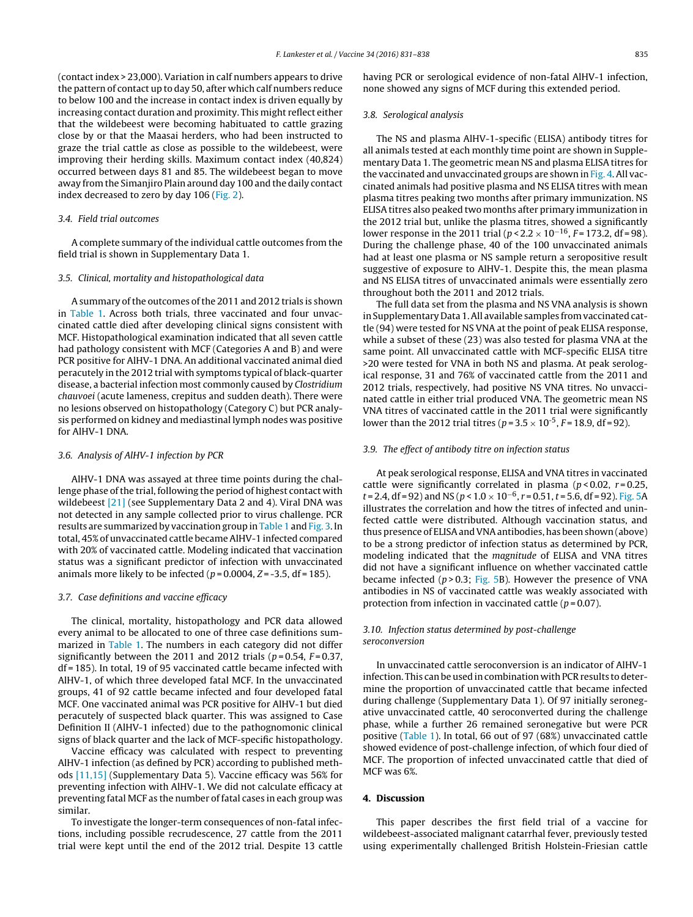(contact index > 23,000). Variation in calf numbers appears to drive the pattern of contact up to day 50, after which calf numbers reduce to below 100 and the increase in contact index is driven equally by increasing contact duration and proximity. This might reflect either that the wildebeest were becoming habituated to cattle grazing close by or that the Maasai herders, who had been instructed to graze the trial cattle as close as possible to the wildebeest, were improving their herding skills. Maximum contact index (40,824) occurred between days 81 and 85. The wildebeest began to move away from the Simanjiro Plain around day 100 and the daily contact index decreased to zero by day 106 ([Fig.](#page-3-0) 2).

## 3.4. Field trial outcomes

A complete summary of the individual cattle outcomes from the field trial is shown in Supplementary Data 1.

## 3.5. Clinical, mortality and histopathological data

A summary of the outcomes of the 2011 and 2012 trials is shown in [Table](#page-3-0) 1. Across both trials, three vaccinated and four unvaccinated cattle died after developing clinical signs consistent with MCF. Histopathological examination indicated that all seven cattle had pathology consistent with MCF (Categories A and B) and were PCR positive for AlHV-1 DNA. An additional vaccinated animal died peracutely in the 2012 trial with symptoms typical of black-quarter disease, a bacterial infection most commonly caused by Clostridium chauvoei (acute lameness, crepitus and sudden death). There were no lesions observed on histopathology (Category C) but PCR analysis performed on kidney and mediastinal lymph nodes was positive for AlHV-1 DNA.

#### 3.6. Analysis of AlHV-1 infection by PCR

AlHV-1 DNA was assayed at three time points during the challenge phase of the trial, following the period of highest contact with wildebeest [\[21\]](#page-7-0) (see Supplementary Data 2 and 4). Viral DNA was not detected in any sample collected prior to virus challenge. PCR results are summarized by vaccination group in [Table](#page-3-0) 1 and [Fig.](#page-5-0) 3. In total, 45% of unvaccinated cattle becameAlHV-1 infected compared with 20% of vaccinated cattle. Modeling indicated that vaccination status was a significant predictor of infection with unvaccinated animals more likely to be infected ( $p = 0.0004$ ,  $Z = -3.5$ , df = 185).

#### 3.7. Case definitions and vaccine efficacy

The clinical, mortality, histopathology and PCR data allowed every animal to be allocated to one of three case definitions summarized in [Table](#page-3-0) 1. The numbers in each category did not differ significantly between the 2011 and 2012 trials ( $p = 0.54$ ,  $F = 0.37$ , df = 185). In total, 19 of 95 vaccinated cattle became infected with AlHV-1, of which three developed fatal MCF. In the unvaccinated groups, 41 of 92 cattle became infected and four developed fatal MCF. One vaccinated animal was PCR positive for AlHV-1 but died peracutely of suspected black quarter. This was assigned to Case Definition II (AlHV-1 infected) due to the pathognomonic clinical signs of black quarter and the lack of MCF-specific histopathology.

Vaccine efficacy was calculated with respect to preventing AlHV-1 infection (as defined by PCR) according to published methods [\[11,15\]](#page-7-0) (Supplementary Data 5). Vaccine efficacy was 56% for preventing infection with AlHV-1. We did not calculate efficacy at preventing fatal MCF as the number of fatal cases in each group was similar.

To investigate the longer-term consequences of non-fatal infections, including possible recrudescence, 27 cattle from the 2011 trial were kept until the end of the 2012 trial. Despite 13 cattle having PCR or serological evidence of non-fatal AlHV-1 infection, none showed any signs of MCF during this extended period.

## 3.8. Serological analysis

The NS and plasma AlHV-1-specific (ELISA) antibody titres for all animals tested at each monthly time point are shown in Supplementary Data 1. The geometric mean NS and plasma ELISA titres for the vaccinated and unvaccinated groups are shown in [Fig.](#page-5-0) 4. All vaccinated animals had positive plasma and NS ELISA titres with mean plasma titres peaking two months after primary immunization. NS ELISA titres also peaked two months after primary immunization in the 2012 trial but, unlike the plasma titres, showed a significantly lower response in the 2011 trial ( $p < 2.2 \times 10^{-16}$ , F = 173.2, df = 98). During the challenge phase, 40 of the 100 unvaccinated animals had at least one plasma or NS sample return a seropositive result suggestive of exposure to AlHV-1. Despite this, the mean plasma and NS ELISA titres of unvaccinated animals were essentially zero throughout both the 2011 and 2012 trials.

The full data set from the plasma and NS VNA analysis is shown in Supplementary Data 1.All available samples fromvaccinated cattle (94) were tested for NS VNA at the point of peak ELISA response, while a subset of these (23) was also tested for plasma VNA at the same point. All unvaccinated cattle with MCF-specific ELISA titre >20 were tested for VNA in both NS and plasma. At peak serological response, 31 and 76% of vaccinated cattle from the 2011 and 2012 trials, respectively, had positive NS VNA titres. No unvaccinated cattle in either trial produced VNA. The geometric mean NS VNA titres of vaccinated cattle in the 2011 trial were significantly lower than the 2012 trial titres ( $p = 3.5 \times 10^{-5}$ ,  $F = 18.9$ , df = 92).

#### 3.9. The effect of antibody titre on infection status

At peak serological response, ELISA and VNA titres in vaccinated cattle were significantly correlated in plasma ( $p$  < 0.02,  $r$  = 0.25,  $t = 2.4$ , df = 92) and NS ( $p < 1.0 \times 10^{-6}$ ,  $r = 0.51$ ,  $t = 5.6$ , df = 92). [Fig.](#page-6-0) 5A illustrates the correlation and how the titres of infected and uninfected cattle were distributed. Although vaccination status, and thus presence of ELISAandVNAantibodies, has been shown (above) to be a strong predictor of infection status as determined by PCR, modeling indicated that the magnitude of ELISA and VNA titres did not have a significant influence on whether vaccinated cattle became infected ( $p > 0.3$ ; [Fig.](#page-6-0) 5B). However the presence of VNA antibodies in NS of vaccinated cattle was weakly associated with protection from infection in vaccinated cattle  $(p=0.07)$ .

## 3.10. Infection status determined by post-challenge seroconversion

In unvaccinated cattle seroconversion is an indicator of AlHV-1 infection. This can be used in combination with PCR results to determine the proportion of unvaccinated cattle that became infected during challenge (Supplementary Data 1). Of 97 initially seronegative unvaccinated cattle, 40 seroconverted during the challenge phase, while a further 26 remained seronegative but were PCR positive [\(Table](#page-3-0) 1). In total, 66 out of 97 (68%) unvaccinated cattle showed evidence of post-challenge infection, of which four died of MCF. The proportion of infected unvaccinated cattle that died of MCF was 6%.

## **4. Discussion**

This paper describes the first field trial of a vaccine for wildebeest-associated malignant catarrhal fever, previously tested using experimentally challenged British Holstein-Friesian cattle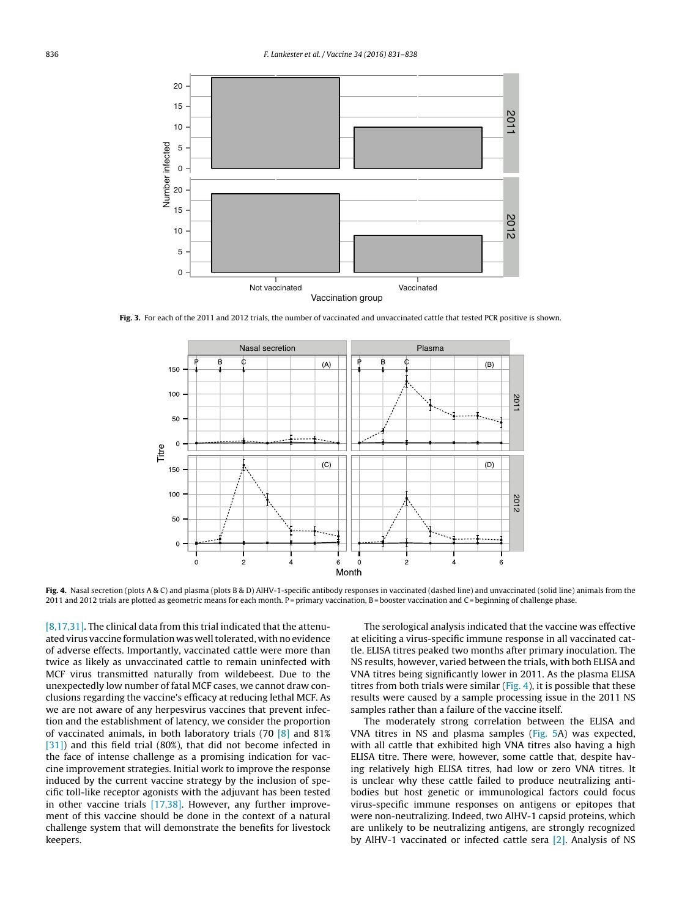<span id="page-5-0"></span>

**Fig. 3.** For each of the 2011 and 2012 trials, the number of vaccinated and unvaccinated cattle that tested PCR positive is shown.



**Fig. 4.** Nasal secretion (plots A & C) and plasma (plots B & D) AlHV-1-specific antibody responses in vaccinated (dashed line) and unvaccinated (solid line) animals from the 2011 and 2012 trials are plotted as geometric means for each month. P= primary vaccination, B= booster vaccination and C= beginning of challenge phase.

[\[8,17,31\].](#page-7-0) The clinical data from this trial indicated that the attenuated virus vaccine formulation was well tolerated, with no evidence of adverse effects. Importantly, vaccinated cattle were more than twice as likely as unvaccinated cattle to remain uninfected with MCF virus transmitted naturally from wildebeest. Due to the unexpectedly low number of fatal MCF cases, we cannot draw conclusions regarding the vaccine's efficacy at reducing lethal MCF. As we are not aware of any herpesvirus vaccines that prevent infection and the establishment of latency, we consider the proportion of vaccinated animals, in both laboratory trials (70 [\[8\]](#page-7-0) and 81% [\[31\]\)](#page-7-0) and this field trial (80%), that did not become infected in the face of intense challenge as a promising indication for vaccine improvement strategies. Initial work to improve the response induced by the current vaccine strategy by the inclusion of specific toll-like receptor agonists with the adjuvant has been tested in other vaccine trials [\[17,38\].](#page-7-0) However, any further improvement of this vaccine should be done in the context of a natural challenge system that will demonstrate the benefits for livestock keepers.

The serological analysis indicated that the vaccine was effective at eliciting a virus-specific immune response in all vaccinated cattle. ELISA titres peaked two months after primary inoculation. The NS results, however, varied between the trials, with both ELISA and VNA titres being significantly lower in 2011. As the plasma ELISA titres from both trials were similar  $(Fig, 4)$ , it is possible that these results were caused by a sample processing issue in the 2011 NS samples rather than a failure of the vaccine itself.

The moderately strong correlation between the ELISA and VNA titres in NS and plasma samples [\(Fig.](#page-6-0) 5A) was expected, with all cattle that exhibited high VNA titres also having a high ELISA titre. There were, however, some cattle that, despite having relatively high ELISA titres, had low or zero VNA titres. It is unclear why these cattle failed to produce neutralizing antibodies but host genetic or immunological factors could focus virus-specific immune responses on antigens or epitopes that were non-neutralizing. Indeed, two AlHV-1 capsid proteins, which are unlikely to be neutralizing antigens, are strongly recognized by AlHV-1 vaccinated or infected cattle sera [\[2\].](#page-7-0) Analysis of NS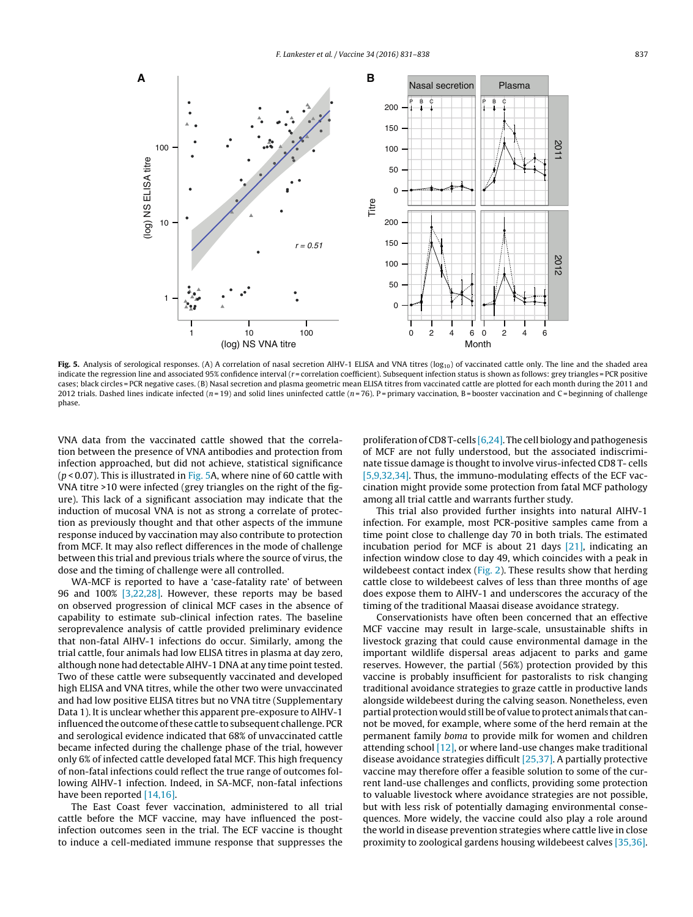<span id="page-6-0"></span>

Fig. 5. Analysis of serological responses. (A) A correlation of nasal secretion AlHV-1 ELISA and VNA titres (log<sub>10</sub>) of vaccinated cattle only. The line and the shaded area indicate the regression line and associated 95% confidence interval (r=correlation coefficient). Subsequent infection status is shown as follows: grey triangles = PCR positive cases; black circles = PCR negative cases. (B) Nasal secretion and plasma geometric mean ELISA titres from vaccinated cattle are plotted for each month during the 2011 and 2012 trials. Dashed lines indicate infected ( $n=19$ ) and solid lines uninfected cattle ( $n=76$ ). P = primary vaccination, B = booster vaccination and C = beginning of challenge phase.

VNA data from the vaccinated cattle showed that the correlation between the presence of VNA antibodies and protection from infection approached, but did not achieve, statistical significance ( $p$  < 0.07). This is illustrated in Fig. 5A, where nine of 60 cattle with VNA titre >10 were infected (grey triangles on the right of the figure). This lack of a significant association may indicate that the induction of mucosal VNA is not as strong a correlate of protection as previously thought and that other aspects of the immune response induced by vaccination may also contribute to protection from MCF. It may also reflect differences in the mode of challenge between this trial and previous trials where the source of virus, the dose and the timing of challenge were all controlled.

WA-MCF is reported to have a 'case-fatality rate' of between 96 and 100% [\[3,22,28\].](#page-7-0) However, these reports may be based on observed progression of clinical MCF cases in the absence of capability to estimate sub-clinical infection rates. The baseline seroprevalence analysis of cattle provided preliminary evidence that non-fatal AlHV-1 infections do occur. Similarly, among the trial cattle, four animals had low ELISA titres in plasma at day zero, although none had detectable AlHV-1 DNA at any time point tested. Two of these cattle were subsequently vaccinated and developed high ELISA and VNA titres, while the other two were unvaccinated and had low positive ELISA titres but no VNA titre (Supplementary Data 1). It is unclear whether this apparent pre-exposure to AlHV-1 influenced the outcome of these cattle to subsequent challenge. PCR and serological evidence indicated that 68% of unvaccinated cattle became infected during the challenge phase of the trial, however only 6% of infected cattle developed fatal MCF. This high frequency of non-fatal infections could reflect the true range of outcomes following AlHV-1 infection. Indeed, in SA-MCF, non-fatal infections have been reported [\[14,16\].](#page-7-0)

The East Coast fever vaccination, administered to all trial cattle before the MCF vaccine, may have influenced the postinfection outcomes seen in the trial. The ECF vaccine is thought to induce a cell-mediated immune response that suppresses the

proliferation of CD8 T-cells  $[6,24]$ . The cell biology and pathogenesis of MCF are not fully understood, but the associated indiscriminate tissue damage is thought to involve virus-infected CD8 T- cells [\[5,9,32,34\].](#page-7-0) Thus, the immuno-modulating effects of the ECF vaccination might provide some protection from fatal MCF pathology among all trial cattle and warrants further study.

This trial also provided further insights into natural AlHV-1 infection. For example, most PCR-positive samples came from a time point close to challenge day 70 in both trials. The estimated incubation period for MCF is about 21 days [\[21\],](#page-7-0) indicating an infection window close to day 49, which coincides with a peak in wildebeest contact index [\(Fig.](#page-3-0) 2). These results show that herding cattle close to wildebeest calves of less than three months of age does expose them to AlHV-1 and underscores the accuracy of the timing of the traditional Maasai disease avoidance strategy.

Conservationists have often been concerned that an effective MCF vaccine may result in large-scale, unsustainable shifts in livestock grazing that could cause environmental damage in the important wildlife dispersal areas adjacent to parks and game reserves. However, the partial (56%) protection provided by this vaccine is probably insufficient for pastoralists to risk changing traditional avoidance strategies to graze cattle in productive lands alongside wildebeest during the calving season. Nonetheless, even partial protection would still be of value to protect animals that cannot be moved, for example, where some of the herd remain at the permanent family boma to provide milk for women and children attending school [\[12\],](#page-7-0) or where land-use changes make traditional disease avoidance strategies difficult [\[25,37\].](#page-7-0) A partially protective vaccine may therefore offer a feasible solution to some of the current land-use challenges and conflicts, providing some protection to valuable livestock where avoidance strategies are not possible, but with less risk of potentially damaging environmental consequences. More widely, the vaccine could also play a role around the world in disease prevention strategies where cattle live in close proximity to zoological gardens housing wildebeest calves [\[35,36\].](#page-7-0)